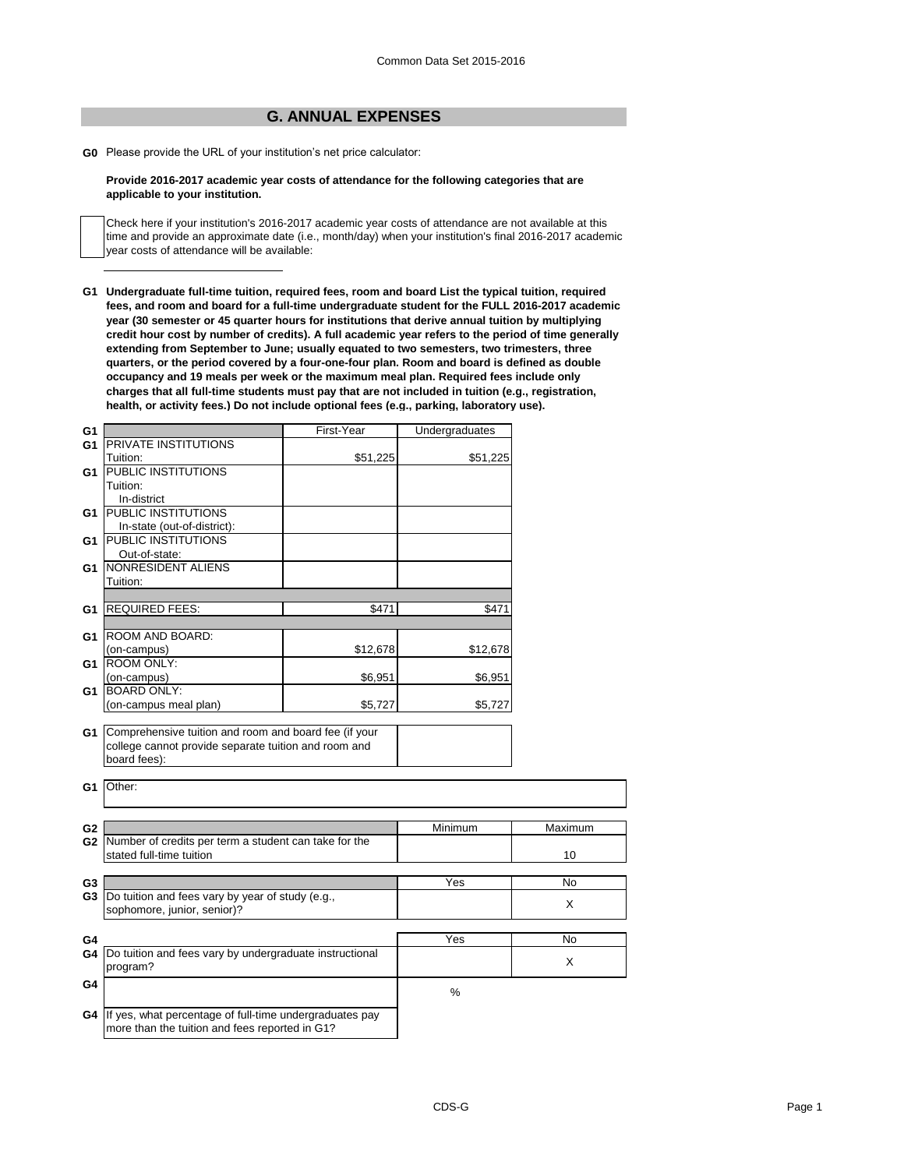## **G. ANNUAL EXPENSES**

**G0** Please provide the URL of your institution's net price calculator:

## **Provide 2016-2017 academic year costs of attendance for the following categories that are applicable to your institution.**

Check here if your institution's 2016-2017 academic year costs of attendance are not available at this time and provide an approximate date (i.e., month/day) when your institution's final 2016-2017 academic year costs of attendance will be available:

**G1 Undergraduate full-time tuition, required fees, room and board List the typical tuition, required fees, and room and board for a full-time undergraduate student for the FULL 2016-2017 academic year (30 semester or 45 quarter hours for institutions that derive annual tuition by multiplying credit hour cost by number of credits). A full academic year refers to the period of time generally extending from September to June; usually equated to two semesters, two trimesters, three quarters, or the period covered by a four-one-four plan. Room and board is defined as double occupancy and 19 meals per week or the maximum meal plan. Required fees include only charges that all full-time students must pay that are not included in tuition (e.g., registration, health, or activity fees.) Do not include optional fees (e.g., parking, laboratory use).**

| G1             |                                                         | First-Year | Undergraduates |         |
|----------------|---------------------------------------------------------|------------|----------------|---------|
| G1             | PRIVATE INSTITUTIONS                                    |            |                |         |
|                | Tuition:                                                | \$51,225   | \$51,225       |         |
| G <sub>1</sub> | PUBLIC INSTITUTIONS                                     |            |                |         |
|                | Tuition:                                                |            |                |         |
|                | In-district                                             |            |                |         |
| G1             | <b>PUBLIC INSTITUTIONS</b>                              |            |                |         |
|                | In-state (out-of-district):                             |            |                |         |
| G1             | <b>PUBLIC INSTITUTIONS</b>                              |            |                |         |
|                | Out-of-state:                                           |            |                |         |
| G1             | NONRESIDENT ALIENS                                      |            |                |         |
|                | Tuition:                                                |            |                |         |
|                |                                                         |            |                |         |
| G1             | <b>REQUIRED FEES:</b>                                   | \$471      | \$471          |         |
|                |                                                         |            |                |         |
| G1             | ROOM AND BOARD:                                         |            |                |         |
|                | (on-campus)                                             | \$12,678   | \$12,678       |         |
| G1             | <b>ROOM ONLY:</b>                                       |            |                |         |
|                | (on-campus)                                             | \$6,951    | \$6,951        |         |
| G1             | <b>BOARD ONLY:</b>                                      |            |                |         |
|                | (on-campus meal plan)                                   | \$5,727    | \$5,727        |         |
|                |                                                         |            |                |         |
| G1             | Comprehensive tuition and room and board fee (if your   |            |                |         |
|                | college cannot provide separate tuition and room and    |            |                |         |
|                | board fees):                                            |            |                |         |
|                |                                                         |            |                |         |
| G1             | Other:                                                  |            |                |         |
|                |                                                         |            |                |         |
|                |                                                         |            |                |         |
| G <sub>2</sub> |                                                         |            | Minimum        | Maximum |
| G <sub>2</sub> | Number of credits per term a student can take for the   |            |                |         |
|                | stated full-time tuition                                |            |                | 10      |
|                |                                                         |            |                |         |
| G3             |                                                         |            | Yes            | No      |
| G <sub>3</sub> | Do tuition and fees vary by year of study (e.g.,        |            |                |         |
|                | sophomore, junior, senior)?                             |            |                | X       |
|                |                                                         |            |                |         |
| G4             |                                                         |            | Yes            | No      |
| G4             | Do tuition and fees vary by undergraduate instructional |            |                |         |
|                | program?                                                |            |                | X       |
|                |                                                         |            |                |         |
| G4             |                                                         |            | %              |         |
|                |                                                         |            |                |         |
| G4             | If yes, what percentage of full-time undergraduates pay |            |                |         |
|                | more than the tuition and fees reported in G1?          |            |                |         |